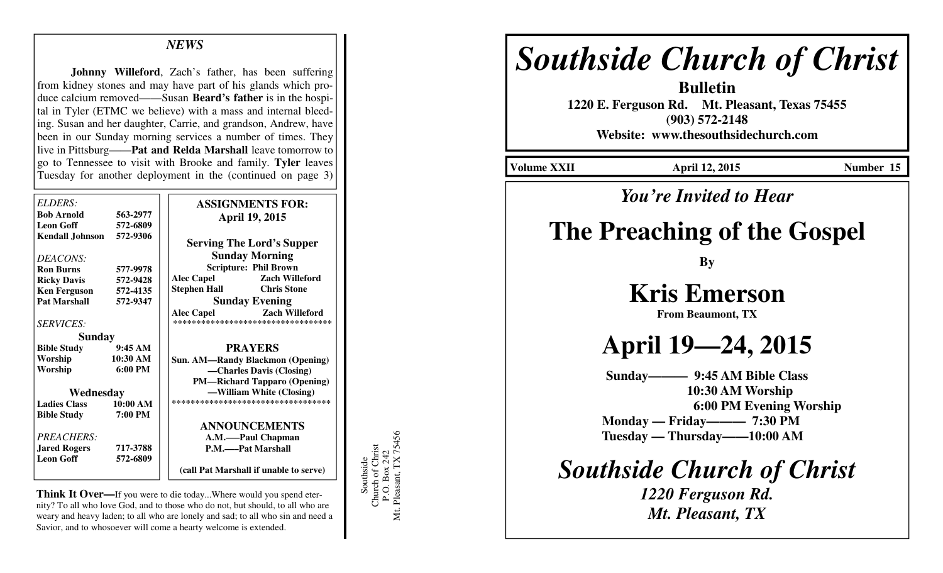### *NEWS*

**Johnny Willeford**, Zach's father, has been suffering from kidney stones and may have part of his glands which produce calcium removed——Susan **Beard's father** is in the hospital in Tyler (ETMC we believe) with a mass and internal bleeding. Susan and her daughter, Carrie, and grandson, Andrew, have been in our Sunday morning services a number of times. They live in Pittsburg——**Pat and Relda Marshall** leave tomorrow to go to Tennessee to visit with Brooke and family. **Tyler** leaves Tuesday for another deployment in the (continued on page 3)

| ELDERS:<br><b>Bob Arnold</b><br><b>Leon Goff</b><br><b>Kendall Johnson</b> | 563-2977<br>572-6809<br>572-9306 | <b>ASSIGNMENTS FOR:</b><br><b>April 19, 2015</b><br><b>Serving The Lord's Supper</b> |
|----------------------------------------------------------------------------|----------------------------------|--------------------------------------------------------------------------------------|
| DEACONS:                                                                   |                                  | <b>Sunday Morning</b>                                                                |
| <b>Ron Burns</b>                                                           | 577-9978                         | <b>Scripture: Phil Brown</b>                                                         |
| <b>Ricky Davis</b>                                                         | 572-9428                         | <b>Alec Capel</b><br><b>Zach Willeford</b>                                           |
| <b>Ken Ferguson</b>                                                        | 572-4135                         | <b>Chris Stone</b><br>Stephen Hall                                                   |
| <b>Pat Marshall</b>                                                        | 572-9347                         | <b>Sunday Evening</b>                                                                |
|                                                                            |                                  | <b>Alec Capel</b><br><b>Zach Willeford</b>                                           |
| <i>SERVICES:</i>                                                           |                                  | **********************************                                                   |
| Sunday                                                                     |                                  |                                                                                      |
| <b>Bible Study</b>                                                         | 9:45 AM                          | <b>PRAYERS</b>                                                                       |
| Worship                                                                    | 10:30 AM                         | <b>Sun. AM—Randy Blackmon (Opening)</b>                                              |
| Worship                                                                    | $6:00 \text{ PM}$                | -Charles Davis (Closing)                                                             |
|                                                                            |                                  | <b>PM—Richard Tapparo (Opening)</b>                                                  |
| Wednesday                                                                  |                                  | -William White (Closing)                                                             |
| <b>Ladies Class</b>                                                        | 10:00 AM                         | ***********************************                                                  |
| <b>Bible Study</b>                                                         | 7:00 PM                          |                                                                                      |
|                                                                            |                                  | <b>ANNOUNCEMENTS</b>                                                                 |
| PREACHERS:                                                                 |                                  | A.M.——Paul Chapman                                                                   |
| <b>Jared Rogers</b>                                                        | 717-3788                         | P.M.——Pat Marshall                                                                   |
| <b>Leon Goff</b>                                                           | 572-6809                         |                                                                                      |
|                                                                            |                                  | (call Pat Marshall if unable to serve)                                               |

**Think It Over—**If you were to die today...Where would you spend eternity? To all who love God, and to those who do not, but should, to all who are weary and heavy laden; to all who are lonely and sad; to all who sin and need a Savior, and to whosoever will come a hearty welcome is extended.

Southside<br>Church of Christ<br>P.O. Box 242<br>Mt. Pleasant, TX 75456 Mt. Pleasant, TX 75456 Church of Christ P.O. Box 242 Southside

# *Southside Church of Christ*

**Bulletin 1220 E. Ferguson Rd. Mt. Pleasant, Texas 75455 (903) 572-2148 Website: www.thesouthsidechurch.com** 

**Volume XXII April 12, 2015 Number 15** 

# *You're Invited to Hear*

# **The Preaching of the Gospel**

**By** 

# **Kris Emerson**

**From Beaumont, TX** 

# **April 19—24, 2015**

**Sunday——— 9:45 AM Bible Class 10:30 AM Worship 6:00 PM Evening Worship Monday — Friday——— 7:30 PM Tuesday — Thursday——10:00 AM** 

*Southside Church of Christ* 

*1220 Ferguson Rd. Mt. Pleasant, TX*